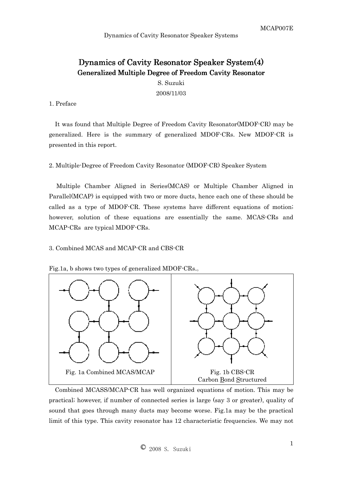# Dynamics of Cavity Resonator Speaker System(4) Generalized Multiple Degree of Freedom Cavity Resonator

S. Suzuki 2008/11/03

## 1. Preface

It was found that Multiple Degree of Freedom Cavity Resonator(MDOF-CR) may be generalized. Here is the summary of generalized MDOF-CRs. New MDOF-CR is presented in this report.

2. Multiple-Degree of Freedom Cavity Resonator (MDOF-CR) Speaker System

Multiple Chamber Aligned in Series(MCAS) or Multiple Chamber Aligned in Parallel(MCAP) is equipped with two or more ducts, hence each one of these should be called as a type of MDOF-CR. These systems have different equations of motion; however, solution of these equations are essentially the same. MCAS-CRs and MCAP-CRs are typical MDOF-CRs.

## 3. Combined MCAS and MCAP-CR and CBS-CR



Fig.1a, b shows two types of generalized MDOF-CRs.。

Combined MCASS/MCAP-CR has well organized equations of motion. This may be practical; however, if number of connected series is large (say 3 or greater), quality of sound that goes through many ducts may become worse. Fig.1a may be the practical limit of this type. This cavity resonator has 12 characteristic frequencies. We may not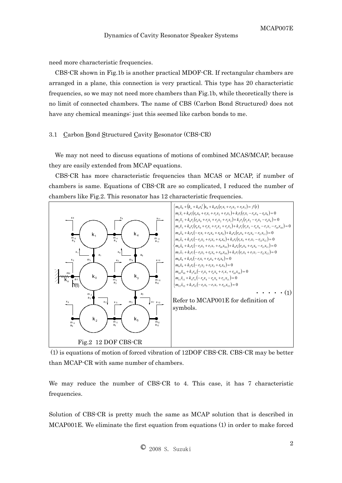need more characteristic frequencies.

CBS-CR shown in Fig.1b is another practical MDOF-CR. If rectangular chambers are arranged in a plane, this connection is very practical. This type has 20 characteristic frequencies, so we may not need more chambers than Fig.1b, while theoretically there is no limit of connected chambers. The name of CBS (Carbon Bond Structured) does not have any chemical meanings: just this seemed like carbon bonds to me.

#### 3.1 Carbon Bond Structured Cavity Resonator (CBS-CR)

We may not need to discuss equations of motions of combined MCAS/MCAP, because they are easily extended from MCAP equations.

CBS-CR has more characteristic frequencies than MCAS or MCAP, if number of chambers is same. Equations of CBS-CR are so complicated, I reduced the number of chambers like Fig.2. This resonator has 12 characteristic frequencies.



 (1) is equations of motion of forced vibration of 12DOF CBS-CR. CBS-CR may be better than MCAP-CR with same number of chambers.

We may reduce the number of CBS-CR to 4. This case, it has 7 characteristic frequencies.

Solution of CBS-CR is pretty much the same as MCAP solution that is described in MCAP001E. We eliminate the first equation from equations (1) in order to make forced